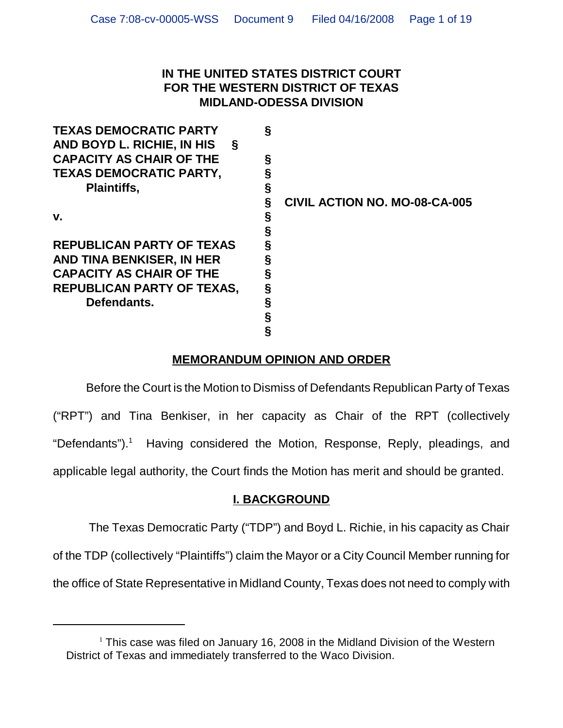## **IN THE UNITED STATES DISTRICT COURT FOR THE WESTERN DISTRICT OF TEXAS MIDLAND-ODESSA DIVISION**

| <b>TEXAS DEMOCRATIC PARTY</b>     | § |                               |
|-----------------------------------|---|-------------------------------|
| AND BOYD L. RICHIE, IN HIS<br>Ş   |   |                               |
| <b>CAPACITY AS CHAIR OF THE</b>   | § |                               |
| <b>TEXAS DEMOCRATIC PARTY,</b>    |   |                               |
| <b>Plaintiffs,</b>                | § |                               |
|                                   |   | CIVIL ACTION NO. MO-08-CA-005 |
| v.                                | § |                               |
|                                   | Ş |                               |
| <b>REPUBLICAN PARTY OF TEXAS</b>  | § |                               |
| AND TINA BENKISER, IN HER         |   |                               |
| <b>CAPACITY AS CHAIR OF THE</b>   | § |                               |
| <b>REPUBLICAN PARTY OF TEXAS,</b> | § |                               |
| Defendants.                       | § |                               |
|                                   |   |                               |
|                                   |   |                               |

# **MEMORANDUM OPINION AND ORDER**

Before the Court is the Motion to Dismiss of Defendants Republican Party of Texas ("RPT") and Tina Benkiser, in her capacity as Chair of the RPT (collectively "Defendants").<sup>1</sup> Having considered the Motion, Response, Reply, pleadings, and applicable legal authority, the Court finds the Motion has merit and should be granted.

# **I. BACKGROUND**

The Texas Democratic Party ("TDP") and Boyd L. Richie, in his capacity as Chair of the TDP (collectively "Plaintiffs") claim the Mayor or a City Council Member running for the office of State Representative in Midland County, Texas does not need to comply with

 $1$  This case was filed on January 16, 2008 in the Midland Division of the Western District of Texas and immediately transferred to the Waco Division.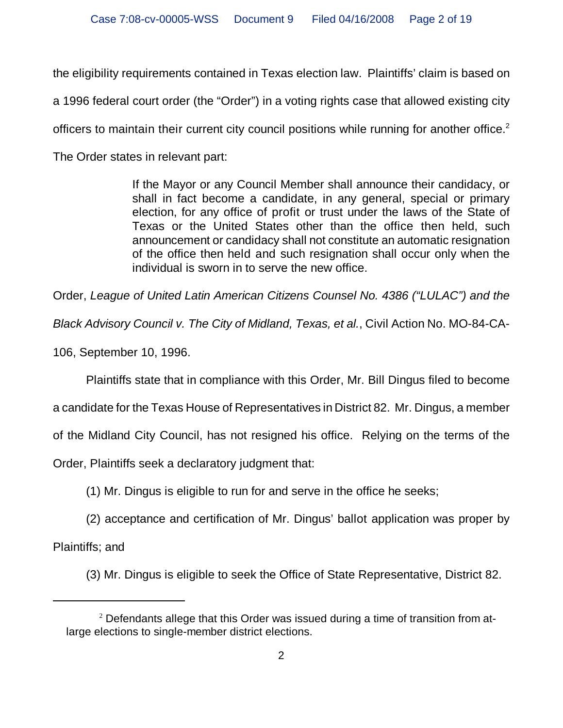the eligibility requirements contained in Texas election law. Plaintiffs' claim is based on

a 1996 federal court order (the "Order") in a voting rights case that allowed existing city

officers to maintain their current city council positions while running for another office.<sup>2</sup>

The Order states in relevant part:

If the Mayor or any Council Member shall announce their candidacy, or shall in fact become a candidate, in any general, special or primary election, for any office of profit or trust under the laws of the State of Texas or the United States other than the office then held, such announcement or candidacy shall not constitute an automatic resignation of the office then held and such resignation shall occur only when the individual is sworn in to serve the new office.

Order, *League of United Latin American Citizens Counsel No. 4386 ("LULAC") and the*

*Black Advisory Council v. The City of Midland, Texas, et al.*, Civil Action No. MO-84-CA-

106, September 10, 1996.

Plaintiffs state that in compliance with this Order, Mr. Bill Dingus filed to become

a candidate for the Texas House of Representatives in District 82. Mr. Dingus, a member

of the Midland City Council, has not resigned his office. Relying on the terms of the

Order, Plaintiffs seek a declaratory judgment that:

(1) Mr. Dingus is eligible to run for and serve in the office he seeks;

(2) acceptance and certification of Mr. Dingus' ballot application was proper by

Plaintiffs; and

(3) Mr. Dingus is eligible to seek the Office of State Representative, District 82.

<sup>&</sup>lt;sup>2</sup> Defendants allege that this Order was issued during a time of transition from atlarge elections to single-member district elections.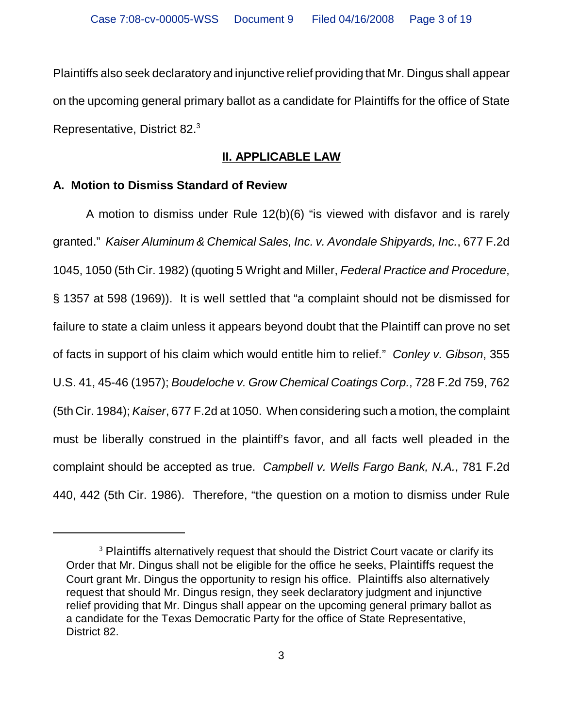Plaintiffs also seek declaratory and injunctive relief providing that Mr. Dingus shall appear on the upcoming general primary ballot as a candidate for Plaintiffs for the office of State Representative, District 82.<sup>3</sup>

# **II. APPLICABLE LAW**

## **A. Motion to Dismiss Standard of Review**

A motion to dismiss under Rule 12(b)(6) "is viewed with disfavor and is rarely granted." *Kaiser Aluminum & Chemical Sales, Inc. v. Avondale Shipyards, Inc.*, 677 F.2d 1045, 1050 (5th Cir. 1982) (quoting 5 Wright and Miller, *Federal Practice and Procedure*, § 1357 at 598 (1969)). It is well settled that "a complaint should not be dismissed for failure to state a claim unless it appears beyond doubt that the Plaintiff can prove no set of facts in support of his claim which would entitle him to relief." *Conley v. Gibson*, 355 U.S. 41, 45-46 (1957); *Boudeloche v. Grow Chemical Coatings Corp.*, 728 F.2d 759, 762 (5th Cir. 1984); *Kaiser*, 677 F.2d at 1050. When considering such a motion, the complaint must be liberally construed in the plaintiff's favor, and all facts well pleaded in the complaint should be accepted as true. *Campbell v. Wells Fargo Bank, N.A.*, 781 F.2d 440, 442 (5th Cir. 1986).Therefore, "the question on a motion to dismiss under Rule

<sup>&</sup>lt;sup>3</sup> Plaintiffs alternatively request that should the District Court vacate or clarify its Order that Mr. Dingus shall not be eligible for the office he seeks, Plaintiffs request the Court grant Mr. Dingus the opportunity to resign his office. Plaintiffs also alternatively request that should Mr. Dingus resign, they seek declaratory judgment and injunctive relief providing that Mr. Dingus shall appear on the upcoming general primary ballot as a candidate for the Texas Democratic Party for the office of State Representative, District 82.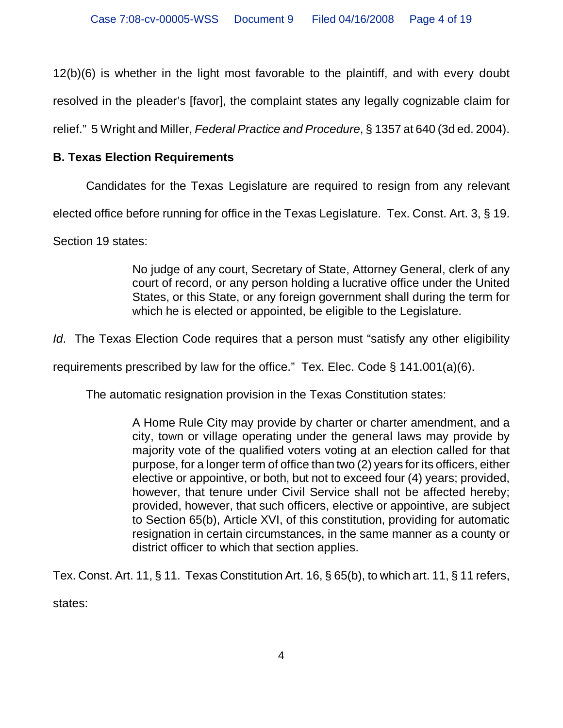12(b)(6) is whether in the light most favorable to the plaintiff, and with every doubt

resolved in the pleader's [favor], the complaint states any legally cognizable claim for

relief." 5 Wright and Miller, *Federal Practice and Procedure*, § 1357 at 640 (3d ed. 2004).

# **B. Texas Election Requirements**

Candidates for the Texas Legislature are required to resign from any relevant

elected office before running for office in the Texas Legislature. Tex. Const. Art. 3, § 19.

Section 19 states:

No judge of any court, Secretary of State, Attorney General, clerk of any court of record, or any person holding a lucrative office under the United States, or this State, or any foreign government shall during the term for which he is elected or appointed, be eligible to the Legislature.

*Id*. The Texas Election Code requires that a person must "satisfy any other eligibility

requirements prescribed by law for the office." Tex. Elec. Code  $\S$  141.001(a)(6).

The automatic resignation provision in the Texas Constitution states:

A Home Rule City may provide by charter or charter amendment, and a city, town or village operating under the general laws may provide by majority vote of the qualified voters voting at an election called for that purpose, for a longer term of office than two (2) years for its officers, either elective or appointive, or both, but not to exceed four (4) years; provided, however, that tenure under Civil Service shall not be affected hereby; provided, however, that such officers, elective or appointive, are subject to Section 65(b), Article XVI, of this constitution, providing for automatic resignation in certain circumstances, in the same manner as a county or district officer to which that section applies.

Tex. Const. Art. 11, § 11. Texas Constitution Art. 16, § 65(b), to which art. 11, § 11 refers, states: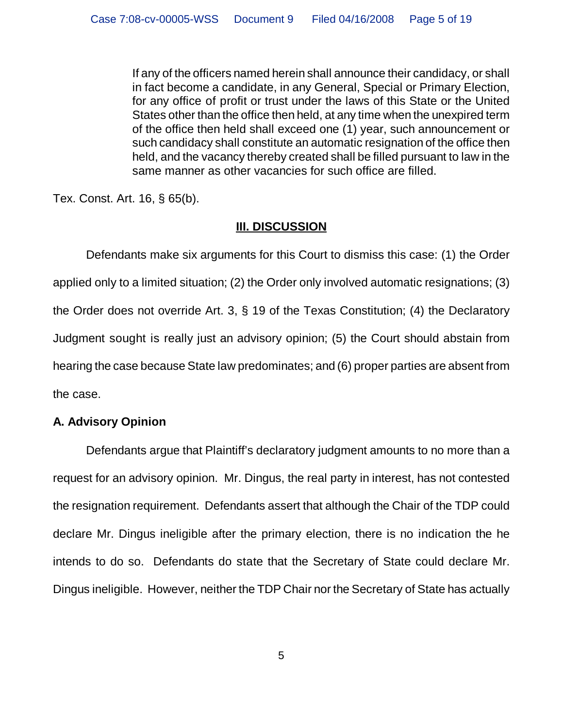If any of the officers named herein shall announce their candidacy, or shall in fact become a candidate, in any General, Special or Primary Election, for any office of profit or trust under the laws of this State or the United States other than the office then held, at any time when the unexpired term of the office then held shall exceed one (1) year, such announcement or such candidacy shall constitute an automatic resignation of the office then held, and the vacancy thereby created shall be filled pursuant to law in the same manner as other vacancies for such office are filled.

Tex. Const. Art. 16, § 65(b).

# **III. DISCUSSION**

Defendants make six arguments for this Court to dismiss this case: (1) the Order applied only to a limited situation; (2) the Order only involved automatic resignations; (3) the Order does not override Art. 3, § 19 of the Texas Constitution; (4) the Declaratory Judgment sought is really just an advisory opinion; (5) the Court should abstain from hearing the case because State law predominates; and (6) proper parties are absent from the case.

## **A. Advisory Opinion**

Defendants argue that Plaintiff's declaratory judgment amounts to no more than a request for an advisory opinion. Mr. Dingus, the real party in interest, has not contested the resignation requirement. Defendants assert that although the Chair of the TDP could declare Mr. Dingus ineligible after the primary election, there is no indication the he intends to do so. Defendants do state that the Secretary of State could declare Mr. Dingus ineligible. However, neither the TDP Chair nor the Secretary of State has actually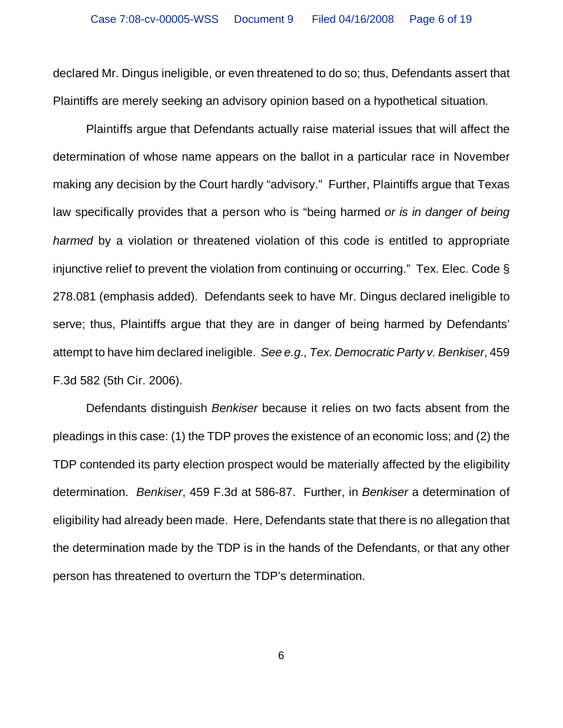declared Mr. Dingus ineligible, or even threatened to do so; thus, Defendants assert that Plaintiffs are merely seeking an advisory opinion based on a hypothetical situation.

Plaintiffs argue that Defendants actually raise material issues that will affect the determination of whose name appears on the ballot in a particular race in November making any decision by the Court hardly "advisory." Further, Plaintiffs argue that Texas law specifically provides that a person who is "being harmed *or is in danger of being harmed* by a violation or threatened violation of this code is entitled to appropriate injunctive relief to prevent the violation from continuing or occurring." Tex. Elec. Code § 278.081 (emphasis added). Defendants seek to have Mr. Dingus declared ineligible to serve; thus, Plaintiffs argue that they are in danger of being harmed by Defendants' attempt to have him declared ineligible. *See e.g., Tex. Democratic Party v. Benkiser*, 459 F.3d 582 (5th Cir. 2006).

Defendants distinguish *Benkiser* because it relies on two facts absent from the pleadings in this case: (1) the TDP proves the existence of an economic loss; and (2) the TDP contended its party election prospect would be materially affected by the eligibility determination. *Benkiser*, 459 F.3d at 586-87. Further, in *Benkiser* a determination of eligibility had already been made. Here, Defendants state that there is no allegation that the determination made by the TDP is in the hands of the Defendants, or that any other person has threatened to overturn the TDP's determination.

6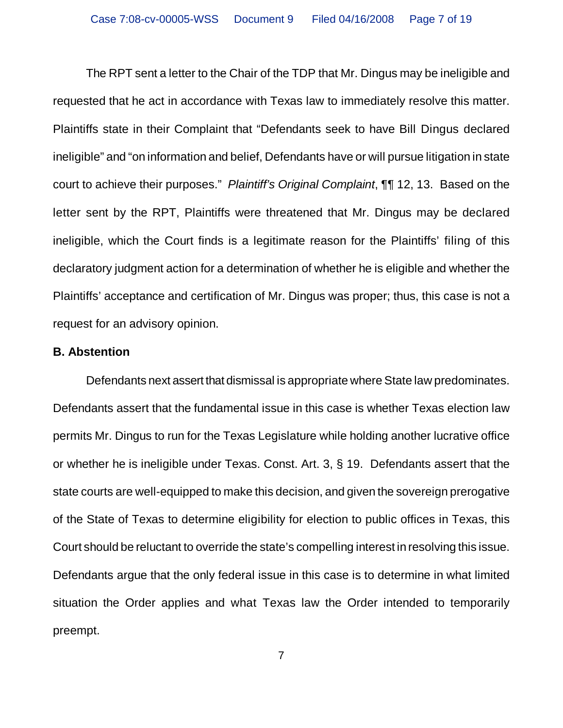The RPT sent a letter to the Chair of the TDP that Mr. Dingus may be ineligible and requested that he act in accordance with Texas law to immediately resolve this matter. Plaintiffs state in their Complaint that "Defendants seek to have Bill Dingus declared ineligible" and "on information and belief, Defendants have or will pursue litigation in state court to achieve their purposes." *Plaintiff's Original Complaint*, ¶¶ 12, 13. Based on the letter sent by the RPT, Plaintiffs were threatened that Mr. Dingus may be declared ineligible, which the Court finds is a legitimate reason for the Plaintiffs' filing of this declaratory judgment action for a determination of whether he is eligible and whether the Plaintiffs' acceptance and certification of Mr. Dingus was proper; thus, this case is not a request for an advisory opinion.

#### **B. Abstention**

Defendants next assert that dismissal is appropriate where State law predominates. Defendants assert that the fundamental issue in this case is whether Texas election law permits Mr. Dingus to run for the Texas Legislature while holding another lucrative office or whether he is ineligible under Texas. Const. Art. 3, § 19. Defendants assert that the state courts are well-equipped to make this decision, and given the sovereign prerogative of the State of Texas to determine eligibility for election to public offices in Texas, this Court should be reluctant to override the state's compelling interest in resolving this issue. Defendants argue that the only federal issue in this case is to determine in what limited situation the Order applies and what Texas law the Order intended to temporarily preempt.

7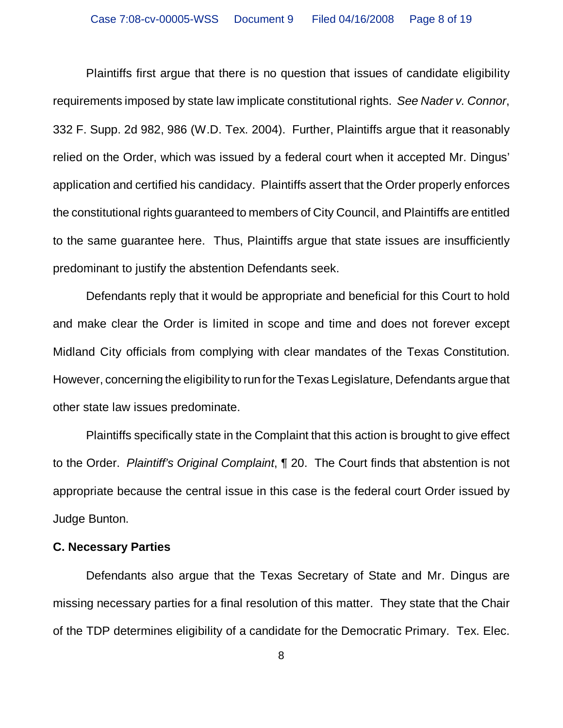Plaintiffs first argue that there is no question that issues of candidate eligibility requirements imposed by state law implicate constitutional rights. *See Nader v. Connor*, 332 F. Supp. 2d 982, 986 (W.D. Tex. 2004). Further, Plaintiffs argue that it reasonably relied on the Order, which was issued by a federal court when it accepted Mr. Dingus' application and certified his candidacy. Plaintiffs assert that the Order properly enforces the constitutional rights guaranteed to members of City Council, and Plaintiffs are entitled to the same guarantee here. Thus, Plaintiffs argue that state issues are insufficiently predominant to justify the abstention Defendants seek.

Defendants reply that it would be appropriate and beneficial for this Court to hold and make clear the Order is limited in scope and time and does not forever except Midland City officials from complying with clear mandates of the Texas Constitution. However, concerning the eligibility to run for the Texas Legislature, Defendants argue that other state law issues predominate.

Plaintiffs specifically state in the Complaint that this action is brought to give effect to the Order. *Plaintiff's Original Complaint*, ¶ 20. The Court finds that abstention is not appropriate because the central issue in this case is the federal court Order issued by Judge Bunton.

#### **C. Necessary Parties**

Defendants also argue that the Texas Secretary of State and Mr. Dingus are missing necessary parties for a final resolution of this matter. They state that the Chair of the TDP determines eligibility of a candidate for the Democratic Primary. Tex. Elec.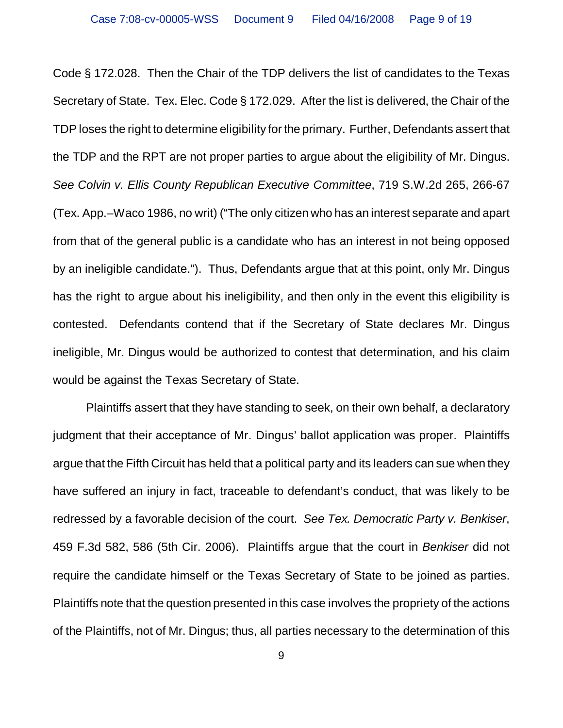Code § 172.028. Then the Chair of the TDP delivers the list of candidates to the Texas Secretary of State. Tex. Elec. Code § 172.029. After the list is delivered, the Chair of the TDP loses the right to determine eligibility for the primary. Further, Defendants assert that the TDP and the RPT are not proper parties to argue about the eligibility of Mr. Dingus. *See Colvin v. Ellis County Republican Executive Committee*, 719 S.W.2d 265, 266-67 (Tex. App.–Waco 1986, no writ) ("The only citizen who has an interest separate and apart from that of the general public is a candidate who has an interest in not being opposed by an ineligible candidate."). Thus, Defendants argue that at this point, only Mr. Dingus has the right to argue about his ineligibility, and then only in the event this eligibility is contested. Defendants contend that if the Secretary of State declares Mr. Dingus ineligible, Mr. Dingus would be authorized to contest that determination, and his claim would be against the Texas Secretary of State.

Plaintiffs assert that they have standing to seek, on their own behalf, a declaratory judgment that their acceptance of Mr. Dingus' ballot application was proper. Plaintiffs argue that the Fifth Circuit has held that a political party and its leaders can sue when they have suffered an injury in fact, traceable to defendant's conduct, that was likely to be redressed by a favorable decision of the court. *See Tex. Democratic Party v. Benkiser*, 459 F.3d 582, 586 (5th Cir. 2006). Plaintiffs argue that the court in *Benkiser* did not require the candidate himself or the Texas Secretary of State to be joined as parties. Plaintiffs note that the question presented in this case involves the propriety of the actions of the Plaintiffs, not of Mr. Dingus; thus, all parties necessary to the determination of this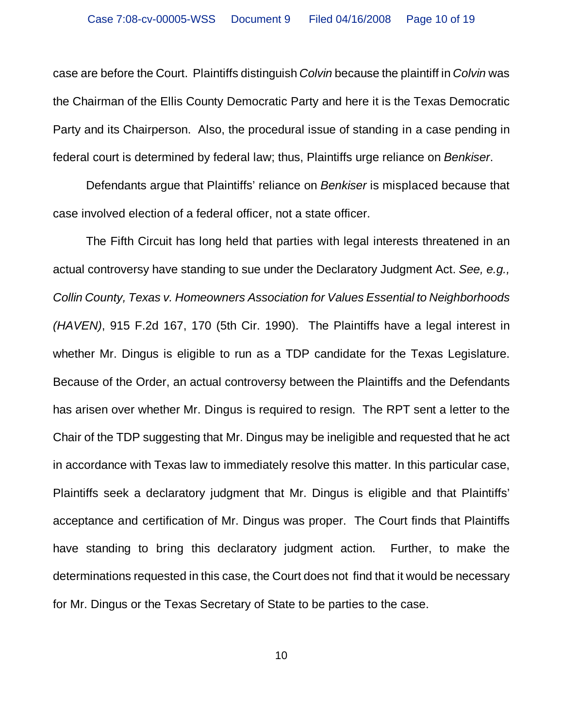case are before the Court. Plaintiffs distinguish *Colvin* because the plaintiff in *Colvin* was the Chairman of the Ellis County Democratic Party and here it is the Texas Democratic Party and its Chairperson. Also, the procedural issue of standing in a case pending in federal court is determined by federal law; thus, Plaintiffs urge reliance on *Benkiser*.

Defendants argue that Plaintiffs' reliance on *Benkiser* is misplaced because that case involved election of a federal officer, not a state officer.

The Fifth Circuit has long held that parties with legal interests threatened in an actual controversy have standing to sue under the Declaratory Judgment Act. *See, e.g., Collin County, Texas v. Homeowners Association for Values Essential to Neighborhoods (HAVEN)*, 915 F.2d 167, 170 (5th Cir. 1990). The Plaintiffs have a legal interest in whether Mr. Dingus is eligible to run as a TDP candidate for the Texas Legislature. Because of the Order, an actual controversy between the Plaintiffs and the Defendants has arisen over whether Mr. Dingus is required to resign. The RPT sent a letter to the Chair of the TDP suggesting that Mr. Dingus may be ineligible and requested that he act in accordance with Texas law to immediately resolve this matter. In this particular case, Plaintiffs seek a declaratory judgment that Mr. Dingus is eligible and that Plaintiffs' acceptance and certification of Mr. Dingus was proper. The Court finds that Plaintiffs have standing to bring this declaratory judgment action. Further, to make the determinations requested in this case, the Court does not find that it would be necessary for Mr. Dingus or the Texas Secretary of State to be parties to the case.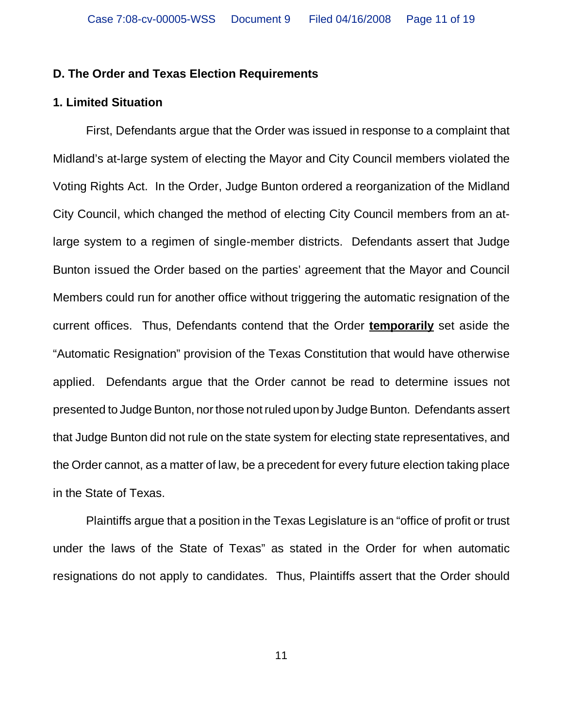## **D. The Order and Texas Election Requirements**

## **1. Limited Situation**

First, Defendants argue that the Order was issued in response to a complaint that Midland's at-large system of electing the Mayor and City Council members violated the Voting Rights Act. In the Order, Judge Bunton ordered a reorganization of the Midland City Council, which changed the method of electing City Council members from an atlarge system to a regimen of single-member districts. Defendants assert that Judge Bunton issued the Order based on the parties' agreement that the Mayor and Council Members could run for another office without triggering the automatic resignation of the current offices. Thus, Defendants contend that the Order **temporarily** set aside the "Automatic Resignation" provision of the Texas Constitution that would have otherwise applied. Defendants argue that the Order cannot be read to determine issues not presented to Judge Bunton, nor those not ruled upon by Judge Bunton. Defendants assert that Judge Bunton did not rule on the state system for electing state representatives, and the Order cannot, as a matter of law, be a precedent for every future election taking place in the State of Texas.

Plaintiffs argue that a position in the Texas Legislature is an "office of profit or trust under the laws of the State of Texas" as stated in the Order for when automatic resignations do not apply to candidates. Thus, Plaintiffs assert that the Order should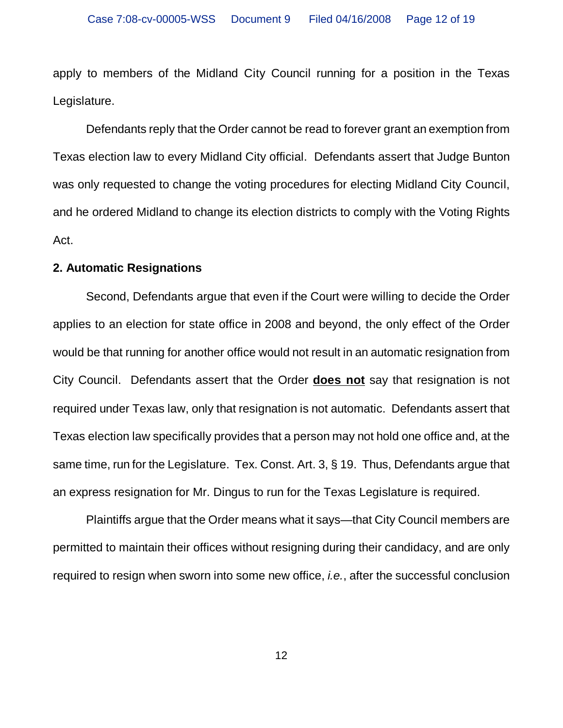apply to members of the Midland City Council running for a position in the Texas Legislature.

Defendants reply that the Order cannot be read to forever grant an exemption from Texas election law to every Midland City official. Defendants assert that Judge Bunton was only requested to change the voting procedures for electing Midland City Council, and he ordered Midland to change its election districts to comply with the Voting Rights Act.

## **2. Automatic Resignations**

Second, Defendants argue that even if the Court were willing to decide the Order applies to an election for state office in 2008 and beyond, the only effect of the Order would be that running for another office would not result in an automatic resignation from City Council. Defendants assert that the Order **does not** say that resignation is not required under Texas law, only that resignation is not automatic. Defendants assert that Texas election law specifically provides that a person may not hold one office and, at the same time, run for the Legislature. Tex. Const. Art. 3, § 19. Thus, Defendants argue that an express resignation for Mr. Dingus to run for the Texas Legislature is required.

Plaintiffs argue that the Order means what it says—that City Council members are permitted to maintain their offices without resigning during their candidacy, and are only required to resign when sworn into some new office, *i.e.*, after the successful conclusion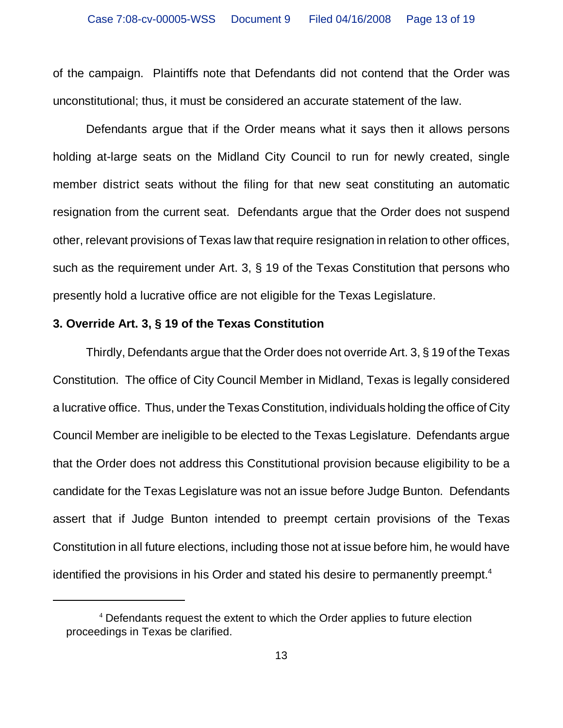of the campaign. Plaintiffs note that Defendants did not contend that the Order was unconstitutional; thus, it must be considered an accurate statement of the law.

Defendants argue that if the Order means what it says then it allows persons holding at-large seats on the Midland City Council to run for newly created, single member district seats without the filing for that new seat constituting an automatic resignation from the current seat. Defendants argue that the Order does not suspend other, relevant provisions of Texas law that require resignation in relation to other offices, such as the requirement under Art. 3, § 19 of the Texas Constitution that persons who presently hold a lucrative office are not eligible for the Texas Legislature.

## **3. Override Art. 3, § 19 of the Texas Constitution**

Thirdly, Defendants argue that the Order does not override Art. 3, § 19 of the Texas Constitution. The office of City Council Member in Midland, Texas is legally considered a lucrative office. Thus, under the Texas Constitution, individuals holding the office of City Council Member are ineligible to be elected to the Texas Legislature. Defendants argue that the Order does not address this Constitutional provision because eligibility to be a candidate for the Texas Legislature was not an issue before Judge Bunton. Defendants assert that if Judge Bunton intended to preempt certain provisions of the Texas Constitution in all future elections, including those not at issue before him, he would have identified the provisions in his Order and stated his desire to permanently preempt.<sup>4</sup>

<sup>&</sup>lt;sup>4</sup> Defendants request the extent to which the Order applies to future election proceedings in Texas be clarified.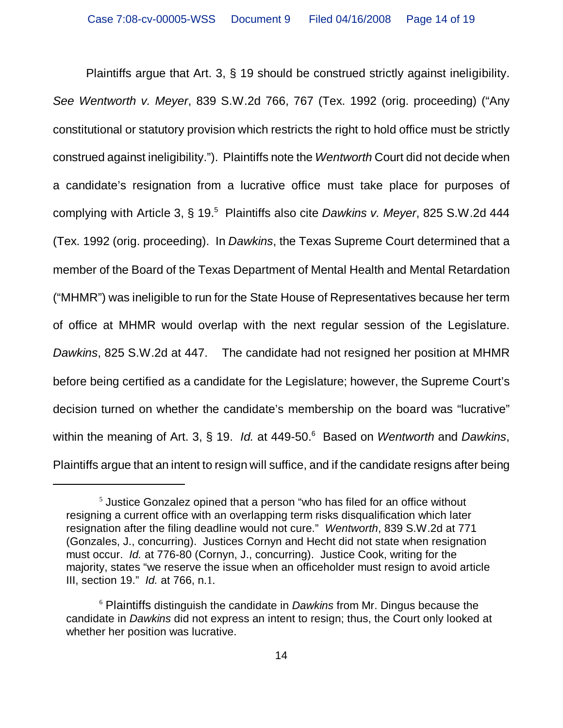Plaintiffs argue that Art. 3, § 19 should be construed strictly against ineligibility. *See Wentworth v. Meyer*, 839 S.W.2d 766, 767 (Tex. 1992 (orig. proceeding) ("Any constitutional or statutory provision which restricts the right to hold office must be strictly construed against ineligibility."). Plaintiffs note the *Wentworth* Court did not decide when a candidate's resignation from a lucrative office must take place for purposes of complying with Article 3, § 19.<sup>5</sup> Plaintiffs also cite *Dawkins v. Meyer*, 825 S.W.2d 444 (Tex. 1992 (orig. proceeding). In *Dawkins*, the Texas Supreme Court determined that a member of the Board of the Texas Department of Mental Health and Mental Retardation ("MHMR") was ineligible to run for the State House of Representatives because her term of office at MHMR would overlap with the next regular session of the Legislature. *Dawkins*, 825 S.W.2d at 447. The candidate had not resigned her position at MHMR before being certified as a candidate for the Legislature; however, the Supreme Court's decision turned on whether the candidate's membership on the board was "lucrative" within the meaning of Art. 3, § 19. *Id.* at 449-50.<sup>6</sup> Based on *Wentworth* and *Dawkins*, Plaintiffs argue that an intent to resign will suffice, and if the candidate resigns after being

 $5$  Justice Gonzalez opined that a person "who has filed for an office without resigning a current office with an overlapping term risks disqualification which later resignation after the filing deadline would not cure." *Wentworth*, 839 S.W.2d at 771 (Gonzales, J., concurring). Justices Cornyn and Hecht did not state when resignation must occur. *Id.* at 776-80 (Cornyn, J., concurring). Justice Cook, writing for the majority, states "we reserve the issue when an officeholder must resign to avoid article III, section 19." *Id.* at 766, n.1.

<sup>6</sup> Plaintiffs distinguish the candidate in *Dawkins* from Mr. Dingus because the candidate in *Dawkins* did not express an intent to resign; thus, the Court only looked at whether her position was lucrative.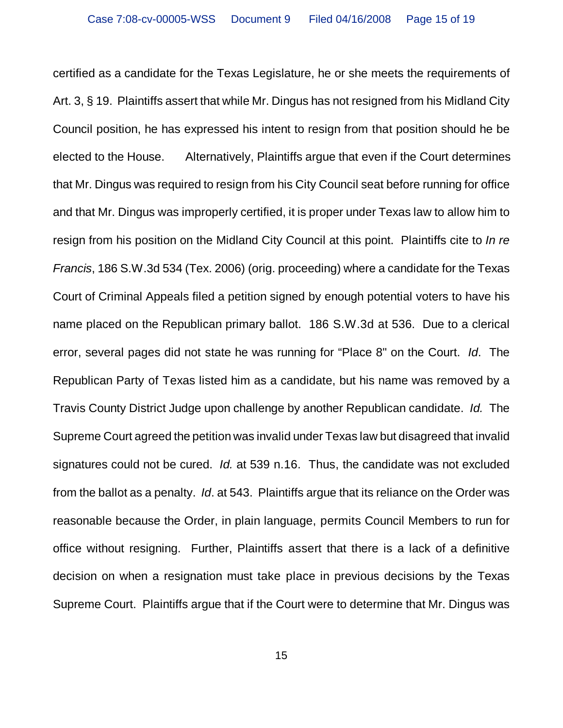certified as a candidate for the Texas Legislature, he or she meets the requirements of Art. 3, § 19. Plaintiffs assert that while Mr. Dingus has not resigned from his Midland City Council position, he has expressed his intent to resign from that position should he be elected to the House. Alternatively, Plaintiffs argue that even if the Court determines that Mr. Dingus was required to resign from his City Council seat before running for office and that Mr. Dingus was improperly certified, it is proper under Texas law to allow him to resign from his position on the Midland City Council at this point. Plaintiffs cite to *In re Francis*, 186 S.W.3d 534 (Tex. 2006) (orig. proceeding) where a candidate for the Texas Court of Criminal Appeals filed a petition signed by enough potential voters to have his name placed on the Republican primary ballot. 186 S.W.3d at 536. Due to a clerical error, several pages did not state he was running for "Place 8" on the Court. *Id*. The Republican Party of Texas listed him as a candidate, but his name was removed by a Travis County District Judge upon challenge by another Republican candidate. *Id.* The Supreme Court agreed the petition was invalid under Texas law but disagreed that invalid signatures could not be cured. *Id.* at 539 n.16. Thus, the candidate was not excluded from the ballot as a penalty. *Id*. at 543. Plaintiffs argue that its reliance on the Order was reasonable because the Order, in plain language, permits Council Members to run for office without resigning. Further, Plaintiffs assert that there is a lack of a definitive decision on when a resignation must take place in previous decisions by the Texas Supreme Court. Plaintiffs argue that if the Court were to determine that Mr. Dingus was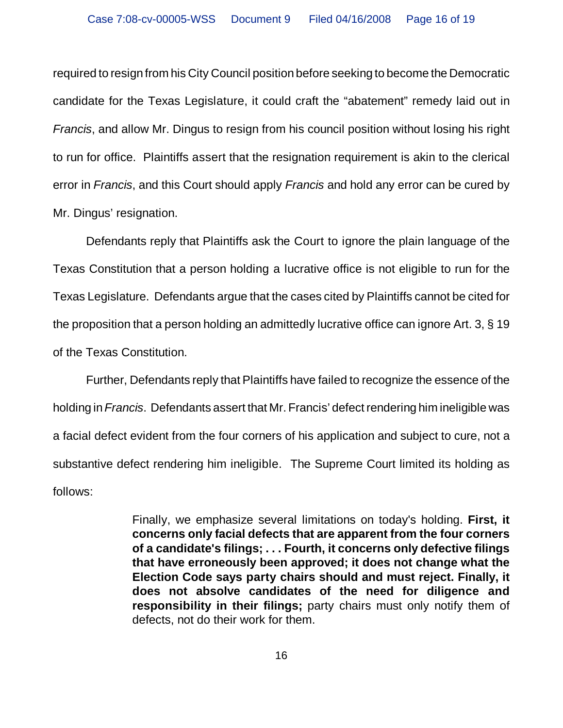required to resign from his City Council position before seeking to become the Democratic candidate for the Texas Legislature, it could craft the "abatement" remedy laid out in *Francis*, and allow Mr. Dingus to resign from his council position without losing his right to run for office. Plaintiffs assert that the resignation requirement is akin to the clerical error in *Francis*, and this Court should apply *Francis* and hold any error can be cured by Mr. Dingus' resignation.

Defendants reply that Plaintiffs ask the Court to ignore the plain language of the Texas Constitution that a person holding a lucrative office is not eligible to run for the Texas Legislature. Defendants argue that the cases cited by Plaintiffs cannot be cited for the proposition that a person holding an admittedly lucrative office can ignore Art. 3, § 19 of the Texas Constitution.

Further, Defendants reply that Plaintiffs have failed to recognize the essence of the holding in *Francis*. Defendants assert that Mr. Francis' defect rendering him ineligible was a facial defect evident from the four corners of his application and subject to cure, not a substantive defect rendering him ineligible. The Supreme Court limited its holding as follows:

> Finally, we emphasize several limitations on today's holding. **First, it concerns only facial defects that are apparent from the four corners of a candidate's filings; . . . Fourth, it concerns only defective filings that have erroneously been approved; it does not change what the Election Code says party chairs should and must reject. Finally, it does not absolve candidates of the need for diligence and responsibility in their filings;** party chairs must only notify them of defects, not do their work for them.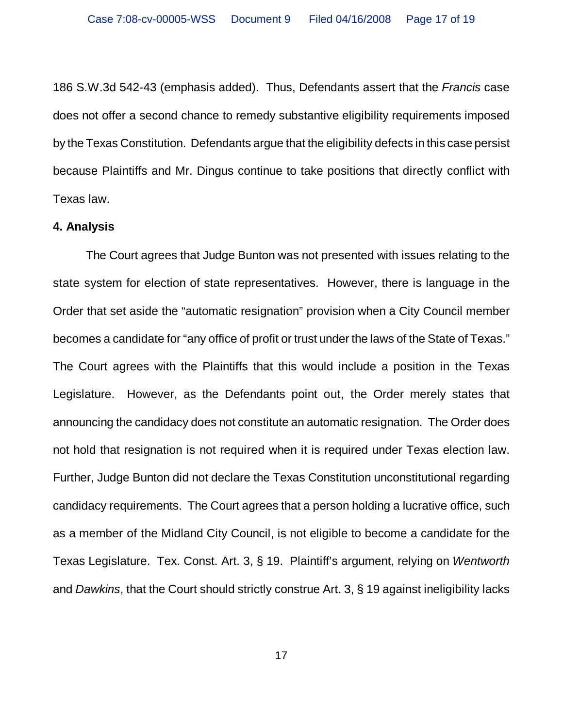186 S.W.3d 542-43 (emphasis added). Thus, Defendants assert that the *Francis* case does not offer a second chance to remedy substantive eligibility requirements imposed by the Texas Constitution. Defendants argue that the eligibility defects in this case persist because Plaintiffs and Mr. Dingus continue to take positions that directly conflict with Texas law.

## **4. Analysis**

The Court agrees that Judge Bunton was not presented with issues relating to the state system for election of state representatives. However, there is language in the Order that set aside the "automatic resignation" provision when a City Council member becomes a candidate for "any office of profit or trust under the laws of the State of Texas." The Court agrees with the Plaintiffs that this would include a position in the Texas Legislature. However, as the Defendants point out, the Order merely states that announcing the candidacy does not constitute an automatic resignation. The Order does not hold that resignation is not required when it is required under Texas election law. Further, Judge Bunton did not declare the Texas Constitution unconstitutional regarding candidacy requirements. The Court agrees that a person holding a lucrative office, such as a member of the Midland City Council, is not eligible to become a candidate for the Texas Legislature. Tex. Const. Art. 3, § 19. Plaintiff's argument, relying on *Wentworth* and *Dawkins*, that the Court should strictly construe Art. 3, § 19 against ineligibility lacks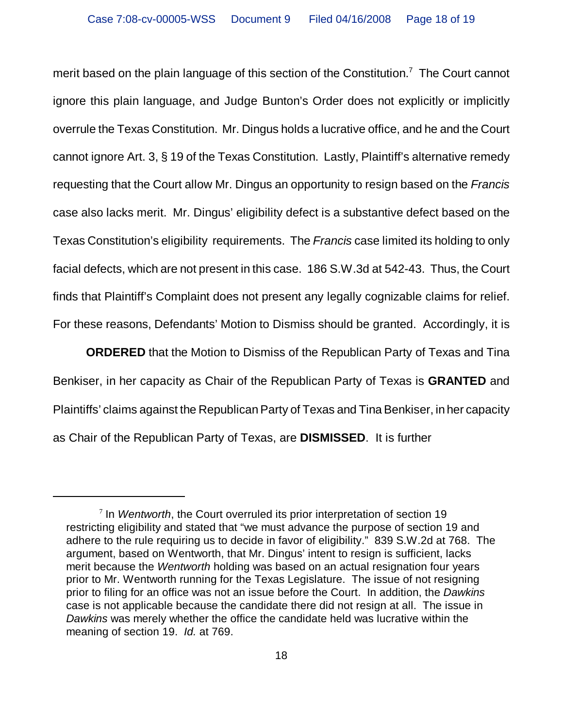merit based on the plain language of this section of the Constitution.<sup>7</sup> The Court cannot ignore this plain language, and Judge Bunton's Order does not explicitly or implicitly overrule the Texas Constitution. Mr. Dingus holds a lucrative office, and he and the Court cannot ignore Art. 3, § 19 of the Texas Constitution. Lastly, Plaintiff's alternative remedy requesting that the Court allow Mr. Dingus an opportunity to resign based on the *Francis* case also lacks merit. Mr. Dingus' eligibility defect is a substantive defect based on the Texas Constitution's eligibility requirements. The *Francis* case limited its holding to only facial defects, which are not present in this case. 186 S.W.3d at 542-43. Thus, the Court finds that Plaintiff's Complaint does not present any legally cognizable claims for relief. For these reasons, Defendants' Motion to Dismiss should be granted. Accordingly, it is

**ORDERED** that the Motion to Dismiss of the Republican Party of Texas and Tina Benkiser, in her capacity as Chair of the Republican Party of Texas is **GRANTED** and Plaintiffs' claims against the Republican Party of Texas and Tina Benkiser, in her capacity as Chair of the Republican Party of Texas, are **DISMISSED**. It is further

<sup>7</sup> In *Wentworth*, the Court overruled its prior interpretation of section 19 restricting eligibility and stated that "we must advance the purpose of section 19 and adhere to the rule requiring us to decide in favor of eligibility." 839 S.W.2d at 768. The argument, based on Wentworth, that Mr. Dingus' intent to resign is sufficient, lacks merit because the *Wentworth* holding was based on an actual resignation four years prior to Mr. Wentworth running for the Texas Legislature. The issue of not resigning prior to filing for an office was not an issue before the Court. In addition, the *Dawkins* case is not applicable because the candidate there did not resign at all. The issue in *Dawkins* was merely whether the office the candidate held was lucrative within the meaning of section 19. *Id.* at 769.